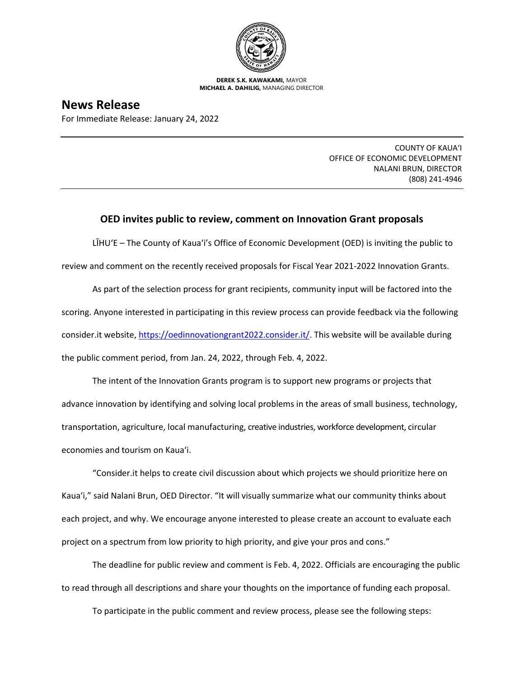

**DEREK S.K. KAWAKAMI,** MAYOR **MICHAEL A. DAHILIG,** MANAGING DIRECTOR

## **News Release**

For Immediate Release: January 24, 2022

COUNTY OF KAUA'I OFFICE OF ECONOMIC DEVELOPMENT NALANI BRUN, DIRECTOR (808) 241-4946

## **OED invites public to review, comment on Innovation Grant proposals**

LĪHU'E – The County of Kaua'i's Office of Economic Development (OED) is inviting the public to review and comment on the recently received proposals for Fiscal Year 2021-2022 Innovation Grants.

As part of the selection process for grant recipients, community input will be factored into the scoring. Anyone interested in participating in this review process can provide feedback via the following consider.it website, [https://oedinnovationgrant2022.consider.it/.](https://oedinnovationgrant2022.consider.it/) This website will be available during the public comment period, from Jan. 24, 2022, through Feb. 4, 2022.

The intent of the Innovation Grants program is to support new programs or projects that advance innovation by identifying and solving local problems in the areas of small business, technology, transportation, agriculture, local manufacturing, creative industries, workforce development, circular economies and tourism on Kaua'i.

"Consider.it helps to create civil discussion about which projects we should prioritize here on Kaua'i," said Nalani Brun, OED Director. "It will visually summarize what our community thinks about each project, and why. We encourage anyone interested to please create an account to evaluate each project on a spectrum from low priority to high priority, and give your pros and cons."

The deadline for public review and comment is Feb. 4, 2022. Officials are encouraging the public to read through all descriptions and share your thoughts on the importance of funding each proposal.

To participate in the public comment and review process, please see the following steps: